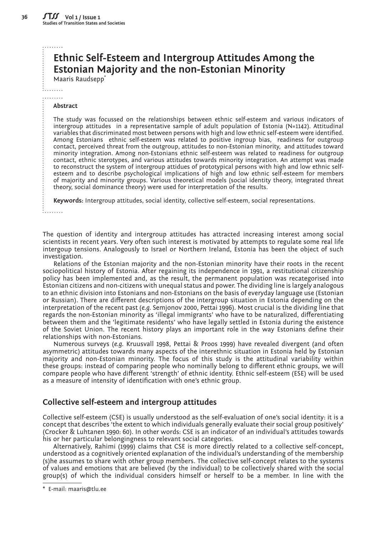# **Ethnic Self-Esteem and Intergroup Attitudes Among the Estonian Majority and the non-Estonian Minority**

Maaris Raudsepp\*

. . . . . . . . . . . . . . . . .

#### **Abstract**

The study was focussed on the relationships between ethnic self-esteem and various indicators of intergroup attitudes in a representative sample of adult population of Estonia (N=1142). Attitudinal variables that discriminated most between persons with high and low ethnic self-esteem were identified. Among Estonians ethnic self-esteem was related to positive ingroup bias, readiness for outgroup contact, perceived threat from the outgroup, attitudes to non-Estonian minority, and attitudes toward minority integration. Among non-Estonians ethnic self-esteem was related to readiness for outgroup contact, ethnic sterotypes, and various attitudes towards minority integration. An attempt was made to reconstruct the system of intergroup attidues of prototypical persons with high and low ethnic selfesteem and to describe psychological implications of high and low ethnic self-esteem for members of majority and minority groups. Various theoretical models (social identity theory, integrated threat theory, social dominance theory) were used for interpretation of the results.

**Keywords:** Intergroup attitudes, social identity, collective self-esteem, social representations.

. . . . . . . . .

The question of identity and intergroup attitudes has attracted increasing interest among social scientists in recent years. Very often such interest is motivated by attempts to regulate some real life intergoup tensions. Analogously to Israel or Northern Ireland, Estonia has been the object of such investigation.

Relations of the Estonian majority and the non-Estonian minority have their roots in the recent sociopolitical history of Estonia. After regaining its independence in 1991, a restitutional citizenship policy has been implemented and, as the result, the permanent population was recategorised into Estonian citizens and non-citizens with unequal status and power. The dividing line is largely analogous to an ethnic division into Estonians and non-Estonians on the basis of everyday language use (Estonian or Russian). There are different descriptions of the intergroup situation in Estonia depending on the interpretation of the recent past (*e.g.* Semjonov 2000, Pettai 1996). Most crucial is the dividing line that regards the non-Estonian minority as 'illegal immigrants' who have to be naturalized, differentiating between them and the 'legitimate residents' who have legally settled in Estonia during the existence of the Soviet Union. The recent history plays an important role in the way Estonians define their relationships with non-Estonians.

Numerous surveys (*e.g.* Kruusvall 1998, Pettai & Proos 1999) have revealed divergent (and often asymmetric) attitudes towards many aspects of the interethnic situation in Estonia held by Estonian majority and non-Estonian minority. The focus of this study is the attitudinal variability within these groups: instead of comparing people who nominally belong to different ethnic groups, we will compare people who have different 'strength' of ethnic identity. Ethnic self-esteem (ESE) will be used as a measure of intensity of identification with one's ethnic group.

# **Collective self-esteem and intergroup attitudes**

Collective self-esteem (CSE) is usually understood as the self-evaluation of one's social identity: it is a concept that describes 'the extent to which individuals generally evaluate their social group positively' (Crocker & Luhtanen 1990: 60). In other words: CSE is an indicator of an individual's attitudes towards his or her particular belongingness to relevant social categories.

Alternatively, Rahimi (1999) claims that CSE is more directly related to a collective self-concept, understood as a cognitively oriented explanation of the individual's understanding of the membership (s)he assumes to share with other group members. The collective self-concept relates to the systems of values and emotions that are believed (by the individual) to be collectively shared with the social group(s) of which the individual considers himself or herself to be a member. In line with the

<sup>\*</sup> E-mail: maaris@tlu.ee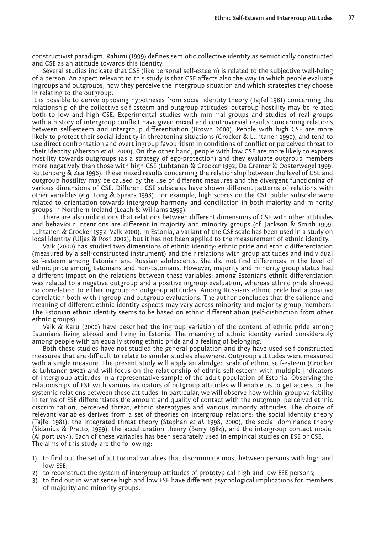constructivist paradigm, Rahimi (1999) defines semiotic collective identity as semiotically constructed and CSE as an attitude towards this identity.

Several studies indicate that CSE (like personal self-esteem) is related to the subjective well-being of a person. An aspect relevant to this study is that CSE affects also the way in which people evaluate ingroups and outgroups, how they perceive the intergroup situation and which strategies they choose in relating to the outgroup.

It is possible to derive opposing hypotheses from social identity theory (Tajfel 1981) concerning the relationship of the collective self-esteem and outgroup attitudes: outgroup hostility may be related both to low and high CSE. Experimental studies with minimal groups and studies of real groups with a history of intergroup conflict have given mixed and controversial results concerning relations between self-esteem and intergroup differentiation (Brown 2000). People with high CSE are more likely to protect their social identity in threatening situations (Crocker & Luhtanen 1990), and tend to use direct confrontation and overt ingroup favouritism in conditions of conflict or perceived threat to their identity (Aberson *et al.* 2000). On the other hand, people with low CSE are more likely to express hostility towards outgroups (as a strategy of ego-protection) and they evaluate outgroup members more negatively than those with high CSE (Luhtanen & Crocker 1992, De Cremer & Oosterwegel 1999, Ruttenberg & Zea 1996). These mixed results concerning the relationship between the level of CSE and outgroup hostility may be caused by the use of different measures and the divergent functioning of various dimensions of CSE. Different CSE subscales have shown different patterns of relations with other variables (*e.g.* Long & Spears 1998). For example, high scores on the CSE public subscale were related to orientation towards intergroup harmony and conciliation in both majority and minority groups in Northern Ireland (Leach & Williams 1999).

There are also indications that relations between different dimensions of CSE with other attitudes and behaviour intentions are different in majority and minority groups (cf. Jackson & Smith 1999, Luhtanen & Crocker 1992, Valk 2000). In Estonia, a variant of the CSE scale has been used in a study on local identity (Uljas & Post 2002), but it has not been applied to the measurement of ethnic identity.

Valk (2000) has studied two dimensions of ethnic identity: ethnic pride and ethnic differentiation (measured by a self-constructed instrument) and their relations with group attitudes and individual self-esteem among Estonian and Russian adolescents. She did not find differences in the level of ethnic pride among Estonians and non-Estonians. However, majority and minority group status had a different impact on the relations between these variables: among Estonians ethnic differentiation was related to a negative outgroup and a positive ingroup evaluation, whereas ethnic pride showed no correlation to either ingroup or outgroup attitudes. Among Russians ethnic pride had a positive correlation both with ingroup and outgroup evaluations. The author concludes that the salience and meaning of different ethnic identity aspects may vary across minority and majority group members. The Estonian ethnic identity seems to be based on ethnic differentiation (self-distinction from other ethnic groups).

Valk & Karu (2000) have described the ingroup variation of the content of ethnic pride among Estonians living abroad and living in Estonia. The meaning of ethnic identity varied considerably among people with an equally strong ethnic pride and a feeling of belonging.

Both these studies have not studied the general population and they have used self-constructed measures that are difficult to relate to similar studies elsewhere. Outgroup attitudes were measured with a single measure. The present study will apply an abridged scale of ethnic self-esteem (Crocker & Luhtanen 1992) and will focus on the relationship of ethnic self-esteem with multiple indicators of intergroup attitudes in a representative sample of the adult population of Estonia. Observing the relationships of ESE with various indicators of outgroup attitudes will enable us to get access to the systemic relations between these attitudes. In particular, we will observe how within-group variability in terms of ESE differentiates the amount and quality of contact with the outgroup, perceived ethnic discrimination, perceived threat, ethnic stereotypes and various minority attitudes. The choice of relevant variables derives from a set of theories on intergroup relations: the social identity theory (Tajfel 1981), the integrated threat theory (Stephan *et al.* 1998, 2000), the social dominance theory (Sidanius & Pratto, 1999), the acculturation theory (Berry 1984), and the intergroup contact model (Allport 1954). Each of these variables has been separately used in empirical studies on ESE or CSE. The aims of this study are the following:

- 1) to find out the set of attitudinal variables that discriminate most between persons with high and low ESE;
- 2) to reconstruct the system of intergroup attitudes of prototypical high and low ESE persons;
- 3) to find out in what sense high and low ESE have different psychological implications for members of majority and minority groups.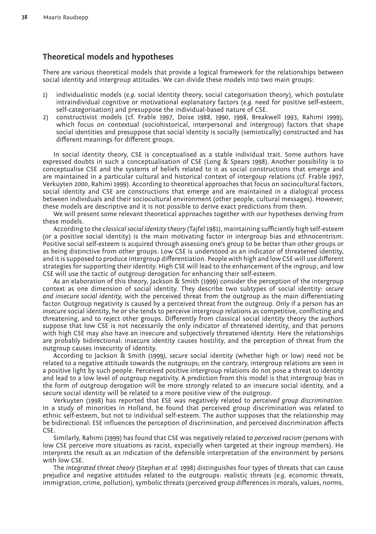# **Theoretical models and hypotheses**

There are various theoretical models that provide a logical framework for the relationships between social identity and intergroup attitudes. We can divide these models into two main groups:

- 1) individualistic models (*e.g.* social identity theory, social categorisation theory), which postulate intraindividual cognitive or motivational explanatory factors (*e.g.* need for positive self-esteem, self-categorisation) and presuppose the individual-based nature of CSE.
- 2) constructivist models (cf. Frable 1997, Doise 1988, 1990, 1998, Breakwell 1993, Rahimi 1999), which focus on contextual (sociohistorical, interpersonal and intergroup) factors that shape social identities and presuppose that social identity is socially (semiotically) constructed and has different meanings for different groups.

In social identity theory, CSE is conceptualised as a stable individual trait. Some authors have expressed doubts in such a conceptualisation of CSE (Long & Spears 1998). Another possibility is to conceptualise CSE and the systems of beliefs related to it as social constructions that emerge and are maintained in a particular cultural and historical context of intergoup relations (cf. Frable 1997, Verkuyten 2000, Rahimi 1999). According to theoretical approaches that focus on sociocultural factors, social identity and CSE are constructions that emerge and are maintained in a dialogical process between individuals and their sociocultural environment (other people, cultural messages). However, these models are descriptive and it is not possible to derive exact predictions from them.

We will present some relevant theoretical approaches together with our hypotheses deriving from these models.

According to the *classical social identity theory* (Tajfel 1981), maintaining sufficiently high self-esteem (or a positive social identity) is the main motivating factor in intergroup bias and ethnocentrism. Positive social self-esteem is acquired through assessing one's group to be better than other groups or as being distinctive from other groups. Low CSE is understood as an indicator of threatened identity, and it is supposed to produce intergroup differentiation. People with high and low CSE will use different strategies for supporting their identity. High CSE will lead to the enhancement of the ingroup, and low CSE will use the tactic of outgroup derogation for enhancing their self-esteem.

As an elaboration of this theory, Jackson & Smith (1999) consider the perception of the intergroup context as one dimension of social identity. They describe two subtypes of social identity: *secure and insecure social identity,* with the perceived threat from the outgroup as the main differentiating factor. Outgroup negativity is caused by a perceived threat from the outgroup. Only if a person has an *insecure* social identity, he or she tends to perceive intergroup relations as competitive, conflicting and threatening, and to reject other groups. Differently from classical social identity theory the authors suppose that low CSE is not necessarily the only indicator of threatened identity, and that persons with high CSE may also have an insecure and subjectively threatened identity. Here the relationships are probably bidirectional: insecure identity causes hostility, and the perception of threat from the outgroup causes insecurity of identity.

According to Jackson & Smith (1999*), secure* social identity (whether high or low) need not be related to a negative attitude towards the outgroups; on the contrary, intergroup relations are seen in a positive light by such people. Perceived positive intergroup relations do not pose a threat to identity and lead to a low level of outgroup negativity. A prediction from this model is that intergroup bias in the form of outgroup derogation will be more strongly related to an insecure social identity, and a secure social identity will be related to a more positive view of the outgroup.

Verkuyten (1998) has reported that ESE was negatively related to *perceived group discrimination.*  In a study of minorities in Holland, he found that perceived group discrimination was related to ethnic self-esteem, but not to individual self-esteem. The author supposes that the relationship may be bidirectional: ESE influences the perception of discrimination, and perceived discrimination affects CSE.

Similarly, Rahimi (1999) has found that CSE was negatively related to *perceived racism* (persons with low CSE perceive more situations as racist, especially when targeted at their ingroup members). He interprets the result as an indication of the defensible interpretation of the environment by persons with low CSE.

The *integrated threat theory* (Stephan *et al.* 1998) distinguishes four types of threats that can cause prejudice and negative attitudes related to the outgroups: realistic threats (*e.g.* economic threats, immigration, crime, pollution), symbolic threats (perceived group differences in morals, values, norms,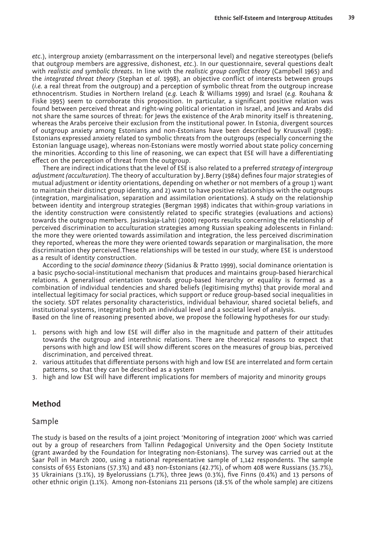*etc*.), intergroup anxiety (embarrassment on the interpersonal level) and negative stereotypes (beliefs that outgroup members are aggressive, dishonest, *etc*.). In our questionnaire, several questions dealt with *realistic and symbolic threats*. In line with the *realistic group conflict theory* (Campbell 1965) and the *integrated threat theory* (Stephan e*t al.* 1998), an objective conflict of interests between groups (*i.e.* a real threat from the outgroup) and a perception of symbolic threat from the outgroup increase ethnocentrism. Studies in Northern Ireland (*e.g.* Leach & Williams 1999) and Israel (*e.g.* Rouhana & Fiske 1995) seem to corroborate this proposition. In particular, a significant positive relation was found between perceived threat and right-wing political orientation in Israel, and Jews and Arabs did not share the same sources of threat: for Jews the existence of the Arab minority itself is threatening, whereas the Arabs perceive their exclusion from the institutional power. In Estonia, divergent sources of outgroup anxiety among Estonians and non-Estonians have been described by Kruusvall (1998): Estonians expressed anxiety related to symbolic threats from the outgroups (especially concerning the Estonian language usage), whereas non-Estonians were mostly worried about state policy concerning the minorities. According to this line of reasoning, we can expect that ESE will have a differentiating effect on the perception of threat from the outgroup.

There are indirect indications that the level of ESE is also related to a preferred *strategy of intergroup adjustment (acculturation).* The theory of acculturation by J.Berry (1984) defines four major strategies of mutual adjustment or identity orientations, depending on whether or not members of a group 1) want to maintain their distinct group identity, and 2) want to have positive relationships with the outgroups (integration, marginalisation, separation and assimilation orientations). A study on the relationship between identity and intergroup strategies (Bergman 1998) indicates that within-group variations in the identity construction were consistently related to specific strategies (evaluations and actions) towards the outgroup members. Jasinskaja-Lahti (2000) reports results concerning the relationship of perceived discrimination to acculturation strategies among Russian speaking adolescents in Finland: the more they were oriented towards assimilation and integration, the less perceived discrimination they reported, whereas the more they were oriented towards separation or marginalisation, the more discrimination they perceived.These relationships will be tested in our study, where ESE is understood as a result of identity construction.

According to the *social dominance theory* (Sidanius & Pratto 1999), social dominance orientation is a basic psycho-social-institutional mechanism that produces and maintains group-based hierarchical relations. A generalised orientation towards group-based hierarchy or equality is formed as a combination of individual tendencies and shared beliefs (legitimising myths) that provide moral and intellectual legitimacy for social practices, which support or reduce group-based social inequalities in the society. SDT relates personality characteristics, individual behaviour, shared societal beliefs, and institutional systems, integrating both an individual level and a societal level of analysis.

Based on the line of reasoning presented above, we propose the following hypotheses for our study:

- 1. persons with high and low ESE will differ also in the magnitude and pattern of their attitudes towards the outgroup and interethnic relations. There are theoretical reasons to expect that persons with high and low ESE will show different scores on the measures of group bias, perceived discrimination, and perceived threat.
- 2. various attitudes that differentiate persons with high and low ESE are interrelated and form certain patterns, so that they can be described as a system
- 3. high and low ESE will have different implications for members of majority and minority groups

## **Method**

## Sample

The study is based on the results of a joint project 'Monitoring of integration 2000' which was carried out by a group of researchers from Tallinn Pedagogical University and the Open Society Institute (grant awarded by the Foundation for Integrating non-Estonians). The survey was carried out at the Saar Poll in March 2000, using a national representative sample of 1,142 respondents. The sample consists of 655 Estonians (57.3%) and 483 non-Estonians (42.7%), of whom 408 were Russians (35.7%), 35 Ukrainians (3.1%), 19 Byelorussians (1.7%), three Jews (0.3%), five Finns (0.4%) and 13 persons of other ethnic origin (1.1%). Among non-Estonians 211 persons (18.5% of the whole sample) are citizens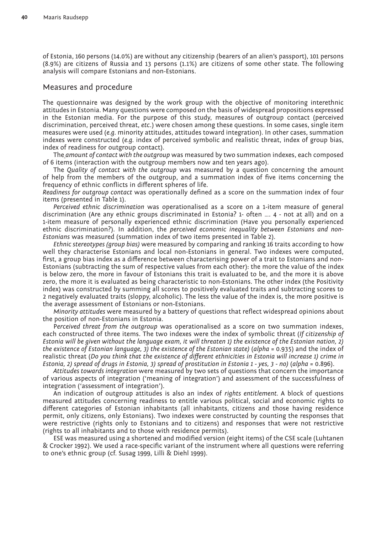of Estonia, 160 persons (14.0%) are without any citizenship (bearers of an alien's passport), 101 persons (8.9%) are citizens of Russia and 13 persons (1.1%) are citizens of some other state. The following analysis will compare Estonians and non-Estonians.

## Measures and procedure

The questionnaire was designed by the work group with the objective of monitoring interethnic attitudes in Estonia. Many questions were composed on the basis of widespread propositions expressed in the Estonian media. For the purpose of this study, measures of outgroup contact (perceived discrimination, perceived threat, *etc*.) were chosen among these questions. In some cases, single item measures were used (*e.g.* minority attitudes, attitudes toward integration). In other cases, summation indexes were constructed (*e.g.* index of perceived symbolic and realistic threat, index of group bias, index of readiness for outgroup contact).

The *amount of contact with the outgroup* was measured by two summation indexes, each composed of 6 items (interaction with the outgroup members now and ten years ago).

The *Quality of contact with the outgroup* was measured by a question concerning the amount of help from the members of the outgroup, and a summation index of five items concerning the frequency of ethnic conflicts in different spheres of life.

*Readiness for outgroup contact* was operationally defined as a score on the summation index of four items (presented in Table 1).

*Perceived ethnic discrimination* was operationalised as a score on a 1-item measure of general discrimination (Are any ethnic groups discriminated in Estonia? 1- often …. 4 - not at all) and on a 1-item measure of personally experienced ethnic discrimination (Have you personally experienced ethnic discrimination?). In addition, the *perceived economic inequality between Estonians and non-Estonians* was measured (summation index of two items presented in Table 2).

*Ethnic stereotypes (group bias)* were measured by comparing and ranking 16 traits according to how well they characterise Estonians and local non-Estonians in general. Two indexes were computed, first, a group bias index as a difference between characterising power of a trait to Estonians and non-Estonians (subtracting the sum of respective values from each other): the more the value of the index is below zero, the more in favour of Estonians this trait is evaluated to be, and the more it is above zero, the more it is evaluated as being characteristic to non-Estonians. The other index (the Positivity index) was constructed by summing all scores to positively evaluated traits and subtracting scores to 2 negatively evaluated traits (sloppy, alcoholic). The less the value of the index is, the more positive is the average assessment of Estonians or non-Estonians.

*Minority attitudes* were measured by a battery of questions that reflect widespread opinions about the position of non-Estonians in Estonia.

P*erceived threat from the outgroup* was operationalised as a score on two summation indexes, each constructed of three items. The two indexes were the index of symbolic threat (*If citizenship of Estonia will be given without the language exam, it will threaten 1) the existence of the Estonian nation, 2) the existence of Estonian language, 3) the existence of the Estonian state)* (*alpha* = 0.935) and the index of realistic threat (*Do you think that the existence of different ethnicities in Estonia will increase 1) crime in Estonia, 2) spread of drugs in Estonia, 3) spread of prostitution in Estonia 1 - yes, 3 - no)* (*alpha* = 0.896).

*Attitudes towards integration* were measured by two sets of questions that concern the importance of various aspects of integration ('meaning of integration') and assessment of the successfulness of integration ('assessment of integration').

An indication of outgroup attitudes is also an index of *rights entitlement.* A block of questions measured attitudes concerning readiness to entitle various political, social and economic rights to different categories of Estonian inhabitants (all inhabitants, citizens and those having residence permit, only citizens, only Estonians). Two indexes were constructed by counting the responses that were restrictive (rights only to Estonians and to citizens) and responses that were not restrictive (rights to all inhabitants and to those with residence permits).

ESE was measured using a shortened and modified version (eight items) of the CSE scale (Luhtanen & Crocker 1992). We used a race-specific variant of the instrument where all questions were referring to one's ethnic group (cf. Susag 1999, Lilli & Diehl 1999).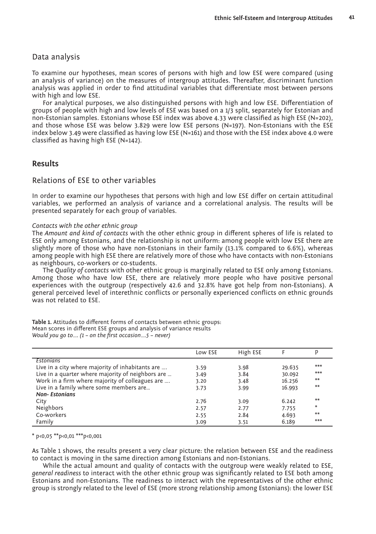## Data analysis

To examine our hypotheses, mean scores of persons with high and low ESE were compared (using an analysis of variance) on the measures of intergroup attitudes. Thereafter, discriminant function analysis was applied in order to find attitudinal variables that differentiate most between persons with high and low ESE.

For analytical purposes, we also distinguished persons with high and low ESE. Differentiation of groups of people with high and low levels of ESE was based on a 1/3 split, separately for Estonian and non-Estonian samples. Estonians whose ESE index was above 4.33 were classified as high ESE (N=202), and those whose ESE was below 3.829 were low ESE persons (N=197). Non-Estonians with the ESE index below 3.49 were classified as having low ESE (N=161) and those with the ESE index above 4.0 were classified as having high ESE (N=142).

## **Results**

## Relations of ESE to other variables

In order to examine our hypotheses that persons with high and low ESE differ on certain attitudinal variables, we performed an analysis of variance and a correlational analysis. The results will be presented separately for each group of variables.

#### *Contacts with the other ethnic group*

The *Amount and kind of contacts* with the other ethnic group in different spheres of life is related to ESE only among Estonians, and the relationship is not uniform: among people with low ESE there are slightly more of those who have non-Estonians in their family (13.1% compared to 6.6%), whereas among people with high ESE there are relatively more of those who have contacts with non-Estonians as neighbours, co-workers or co-students.

The *Quality of contacts* with other ethnic group is marginally related to ESE only among Estonians. Among those who have low ESE, there are relatively more people who have positive personal experiences with the outgroup (respectively 42.6 and 32.8% have got help from non-Estonians). A general perceived level of interethnic conflicts or personally experienced conflicts on ethnic grounds was not related to ESE.

**Table 1.** Attitudes to different forms of contacts between ethnic groups: Mean scores in different ESE groups and analysis of variance results *Would you go to…. (1 – on the first occasion….5 – never)*

|                                                   | Low ESE | High ESE |        | p     |
|---------------------------------------------------|---------|----------|--------|-------|
| Estonians                                         |         |          |        |       |
| Live in a city where majority of inhabitants are  | 3.59    | 3.98     | 29.635 | $***$ |
| Live in a quarter where majority of neighbors are | 3.49    | 3.84     | 30.092 | $***$ |
| Work in a firm where majority of colleagues are   | 3.20    | 3.48     | 16.256 | $***$ |
| Live in a family where some members are           | 3.73    | 3.99     | 16.993 | $***$ |
| <b>Non-Estonians</b>                              |         |          |        |       |
| City                                              | 2.76    | 3.09     | 6.242  | $***$ |
| Neighbors                                         | 2.57    | 2.77     | 7.755  | ∗     |
| Co-workers                                        | 2.55    | 2.84     | 4.693  | $***$ |
| Family                                            | 3.09    | 3.51     | 6.189  | $***$ |

 $*$  p<0,05  $**$ p<0,01  $**$ p<0,001

As Table 1 shows, the results present a very clear picture: the relation between ESE and the readiness to contact is moving in the same direction among Estonians and non-Estonians.

While the actual amount and quality of contacts with the outgroup were weakly related to ESE, *general readiness* to interact with the other ethnic group was significantly related to ESE both among Estonians and non-Estonians. The readiness to interact with the representatives of the other ethnic group is strongly related to the level of ESE (more strong relationship among Estonians): the lower ESE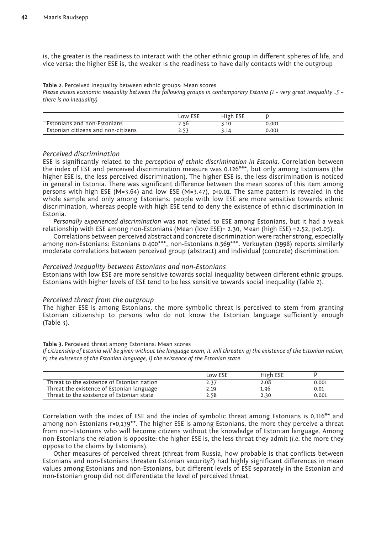is, the greater is the readiness to interact with the other ethnic group in different spheres of life, and vice versa: the higher ESE is, the weaker is the readiness to have daily contacts with the outgroup

**Table 2.** Perceived inequality between ethnic groups: Mean scores

*Please assess economic inequality between the following groups in contemporary Estonia (1 – very great inequality…5 – there is no inequality)*

|                                    | Low ESE | High ESE |       |  |
|------------------------------------|---------|----------|-------|--|
| Estonians and non-Estonians        | 2.50    | 3.10     | 0.001 |  |
| Estonian citizens and non-citizens |         | 14.د     | 0.001 |  |

## *Perceived discrimination*

ESE is significantly related to the *perception of ethnic discrimination in Estonia.* Correlation between the index of ESE and perceived discrimination measure was 0.126\*\*\*, but only among Estonians (the higher ESE is, the less perceived discrimination). The higher ESE is, the less discrimination is noticed in general in Estonia. There was significant difference between the mean scores of this item among persons with high ESE (M=3.64) and low ESE (M=3.47), p<0.01. The same pattern is revealed in the whole sample and only among Estonians: people with low ESE are more sensitive towards ethnic discrimination, whereas people with high ESE tend to deny the existence of ethnic discrimination in Estonia.

*Personally experienced discrimination* was not related to ESE among Estonians, but it had a weak relationship with ESE among non-Estonians (Mean (low ESE)= 2.30, Mean (high ESE) =2.52, p<0.05).

Correlations between perceived abstract and concrete discrimination were rather strong, especially among non-Estonians: Estonians 0.400\*\*\*, non-Estonians 0.569\*\*\*. Verkuyten (1998) reports similarly moderate correlations between perceived group (abstract) and individual (concrete) discrimination.

## *Perceived inequality between Estonians and non-Estonians*

Estonians with low ESE are more sensitive towards social inequality between different ethnic groups. Estonians with higher levels of ESE tend to be less sensitive towards social inequality (Table 2).

#### *Perceived threat from the outgroup*

The higher ESE is among Estonians, the more symbolic threat is perceived to stem from granting Estonian citizenship to persons who do not know the Estonian language sufficiently enough (Table 3).

#### **Table 3.** Perceived threat among Estonians: Mean scores

*If citizenship of Estonia will be given without the language exam, it will threaten g) the existence of the Estonian nation, h) the existence of the Estonian language, I) the existence of the Estonian state*

|                                            | Low ESE | High ESE |       |
|--------------------------------------------|---------|----------|-------|
| Threat to the existence of Estonian nation | 2.37    | 2.08     | 0.001 |
| Threat the existence of Estonian language  | 2.19    | 1.96     | 0.01  |
| Threat to the existence of Estonian state  | 2.58    | 2.30     | 0.001 |

Correlation with the index of ESE and the index of symbolic threat among Estonians is 0,116\*\* and among non-Estonians  $r=0,139**$ . The higher ESE is among Estonians, the more they perceive a threat from non-Estonians who will become citizens without the knowledge of Estonian language. Among non-Estonians the relation is opposite: the higher ESE is, the less threat they admit (*i.e*. the more they oppose to the claims by Estonians).

Other measures of perceived threat (threat from Russia, how probable is that conflicts between Estonians and non-Estonians threaten Estonian security?) had highly significant differences in mean values among Estonians and non-Estonians, but different levels of ESE separately in the Estonian and non-Estonian group did not differentiate the level of perceived threat.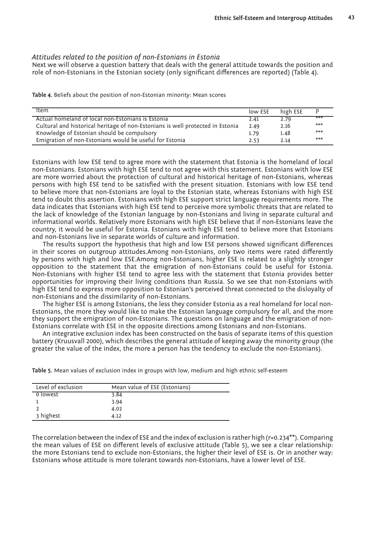## *Attitudes related to the position of non-Estonians in Estonia*

Next we will observe a question battery that deals with the general attitude towards the position and role of non-Estonians in the Estonian society (only significant differences are reported) (Table 4).

**Table 4.** Beliefs about the position of non-Estonian minority: Mean scores

| Item                                                                           | low ESE | high ESE |       |
|--------------------------------------------------------------------------------|---------|----------|-------|
| Actual homeland of local non-Estonians is Estonia                              | 2.41    | 2.79     | $***$ |
| Cultural and historical heritage of non-Estonians is well protected in Estonia | 2.49    | 2.16     | $***$ |
| Knowledge of Estonian should be compulsory                                     | 1.79    | 1.48     | $***$ |
| Emigration of non-Estonians would be useful for Estonia                        | 2.53    | 2.14     | $***$ |

Estonians with low ESE tend to agree more with the statement that Estonia is the homeland of local non-Estonians. Estonians with high ESE tend to not agree with this statement. Estonians with low ESE are more worried about the protection of cultural and historical heritage of non-Estonians, whereas persons with high ESE tend to be satisfied with the present situation. Estonians with low ESE tend to believe more that non-Estonians are loyal to the Estonian state, whereas Estonians with high ESE tend to doubt this assertion. Estonians with high ESE support strict language requirements more. The data indicates that Estonians with high ESE tend to perceive more symbolic threats that are related to the lack of knowledge of the Estonian language by non-Estonians and living in separate cultural and informational worlds. Relatively more Estonians with high ESE believe that if non-Estonians leave the country, it would be useful for Estonia. Estonians with high ESE tend to believe more that Estonians and non-Estonians live in separate worlds of culture and information.

The results support the hypothesis that high and low ESE persons showed significant differences in their scores on outgroup attitudes.Among non-Estonians, only two items were rated differently by persons with high and low ESE.Among non-Estonians, higher ESE is related to a slightly stronger opposition to the statement that the emigration of non-Estonians could be useful for Estonia. Non-Estonians with higher ESE tend to agree less with the statement that Estonia provides better opportunities for improving their living conditions than Russia. So we see that non-Estonians with high ESE tend to express more opposition to Estonian's perceived threat connected to the disloyalty of non-Estonians and the dissimilarity of non-Estonians.

The higher ESE is among Estonians, the less they consider Estonia as a real homeland for local non-Estonians, the more they would like to make the Estonian language compulsory for all, and the more they support the emigration of non-Estonians. The questions on language and the emigration of non-Estonians correlate with ESE in the opposite directions among Estonians and non-Estonians.

An integrative exclusion index has been constructed on the basis of separate items of this question battery (Kruusvall 2000), which describes the general attitude of keeping away the minority group (the greater the value of the index, the more a person has the tendency to exclude the non-Estonians).

| Level of exclusion | Mean value of ESE (Estonians) |
|--------------------|-------------------------------|
| 0 lowest           | 3.84                          |
|                    | 3.94                          |
|                    | 4.02                          |
| 3 highest          | 4.12                          |

**Table 5.** Mean values of exclusion index in groups with low, medium and high ethnic self-esteem

The correlation between the index of ESE and the index of exclusion is rather high ( $r=0.234**$ ). Comparing the mean values of ESE on different levels of exclusive attitude (Table 5), we see a clear relationship: the more Estonians tend to exclude non-Estonians, the higher their level of ESE is. Or in another way: Estonians whose attitude is more tolerant towards non-Estonians, have a lower level of ESE.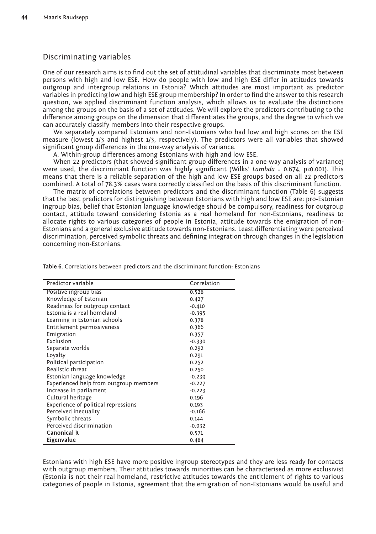# Discriminating variables

One of our research aims is to find out the set of attitudinal variables that discriminate most between persons with high and low ESE. How do people with low and high ESE differ in attitudes towards outgroup and intergroup relations in Estonia? Which attitudes are most important as predictor variables in predicting low and high ESE group membership? In order to find the answer to this research question, we applied discriminant function analysis, which allows us to evaluate the distinctions among the groups on the basis of a set of attitudes. We will explore the predictors contributing to the difference among groups on the dimension that differentiates the groups, and the degree to which we can accurately classify members into their respective groups.

We separately compared Estonians and non-Estonians who had low and high scores on the ESE measure (lowest 1/3 and highest 1/3, respectively). The predictors were all variables that showed significant group differences in the one-way analysis of variance.

A. Within-group differences among Estonians with high and low ESE.

When 22 predictors (that showed significant group differences in a one-way analysis of variance) were used, the discriminant function was highly significant (Wilks' *Lambda* = 0.674, p<0.001). This means that there is a reliable separation of the high and low ESE groups based on all 22 predictors combined. A total of 78.3% cases were correctly classified on the basis of this discriminant function.

The matrix of correlations between predictors and the discriminant function (Table 6) suggests that the best predictors for distinguishing between Estonians with high and low ESE are: pro-Estonian ingroup bias, belief that Estonian language knowledge should be compulsory, readiness for outgroup contact, attitude toward considering Estonia as a real homeland for non-Estonians, readiness to allocate rights to various categories of people in Estonia, attitude towards the emigration of non-Estonians and a general exclusive attitude towards non-Estonians. Least differentiating were perceived discrimination, perceived symbolic threats and defining integration through changes in the legislation concerning non-Estonians.

| Predictor variable                     | Correlation |
|----------------------------------------|-------------|
| Positive ingroup bias                  | 0.528       |
| Knowledge of Estonian                  | 0.427       |
| Readiness for outgroup contact         | $-0.410$    |
| Estonia is a real homeland             | $-0.395$    |
| Learning in Estonian schools           | 0.378       |
| Entitlement permissiveness             | 0.366       |
| Emigration                             | 0.357       |
| Exclusion                              | $-0.330$    |
| Separate worlds                        | 0.292       |
| Loyalty                                | 0.291       |
| Political participation                | 0.252       |
| Realistic threat                       | 0.250       |
| Estonian language knowledge            | $-0.239$    |
| Experienced help from outgroup members | $-0.227$    |
| Increase in parliament                 | $-0.223$    |
| Cultural heritage                      | 0.196       |
| Experience of political repressions    | 0.193       |
| Perceived inequality                   | $-0.166$    |
| Symbolic threats                       | 0.144       |
| Perceived discrimination               | $-0.032$    |
| <b>Canonical R</b>                     | 0.571       |
| Eigenvalue                             | 0.484       |

**Table 6.** Correlations between predictors and the discriminant function: Estonians

Estonians with high ESE have more positive ingroup stereotypes and they are less ready for contacts with outgroup members. Their attitudes towards minorities can be characterised as more exclusivist (Estonia is not their real homeland, restrictive attitudes towards the entitlement of rights to various categories of people in Estonia, agreement that the emigration of non-Estonians would be useful and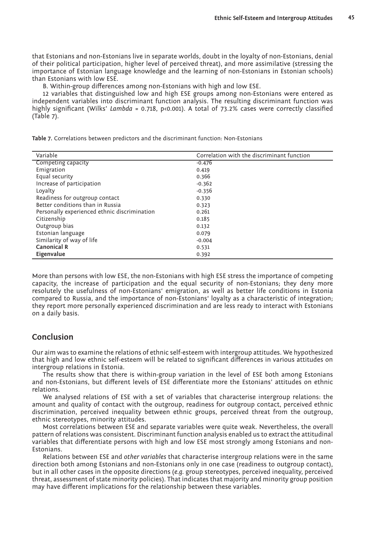that Estonians and non-Estonians live in separate worlds, doubt in the loyalty of non-Estonians, denial of their political participation, higher level of perceived threat), and more assimilative (stressing the importance of Estonian language knowledge and the learning of non-Estonians in Estonian schools) than Estonians with low ESE.

B. Within-group differences among non-Estonians with high and low ESE.

12 variables that distinguished low and high ESE groups among non-Estonians were entered as independent variables into discriminant function analysis. The resulting discriminant function was highly significant (Wilks' *Lambda* = 0.718, p<0.001). A total of 73.2% cases were correctly classified (Table 7).

**Table 7.** Correlations between predictors and the discriminant function: Non-Estonians

| Variable                                     | Correlation with the discriminant function |
|----------------------------------------------|--------------------------------------------|
| Competing capacity                           | $-0.476$                                   |
| Emigration                                   | 0.419                                      |
| Equal security                               | 0.366                                      |
| Increase of participation                    | $-0.362$                                   |
| Loyalty                                      | $-0.356$                                   |
| Readiness for outgroup contact               | 0.330                                      |
| Better conditions than in Russia             | 0.323                                      |
| Personally experienced ethnic discrimination | 0.261                                      |
| Citizenship                                  | 0.185                                      |
| Outgroup bias                                | 0.132                                      |
| Estonian language                            | 0.079                                      |
| Similarity of way of life                    | $-0.004$                                   |
| Canonical R                                  | 0.531                                      |
| Eigenvalue                                   | 0.392                                      |

More than persons with low ESE, the non-Estonians with high ESE stress the importance of competing capacity, the increase of participation and the equal security of non-Estonians; they deny more resolutely the usefulness of non-Estonians' emigration, as well as better life conditions in Estonia compared to Russia, and the importance of non-Estonians' loyalty as a characteristic of integration; they report more personally experienced discrimination and are less ready to interact with Estonians on a daily basis.

# **Conclusion**

Our aim was to examine the relations of ethnic self-esteem with intergroup attitudes. We hypothesized that high and low ethnic self-esteem will be related to significant differences in various attitudes on intergroup relations in Estonia.

The results show that there is within-group variation in the level of ESE both among Estonians and non-Estonians, but different levels of ESE differentiate more the Estonians' attitudes on ethnic relations.

We analysed relations of ESE with a set of variables that characterise intergroup relations: the amount and quality of contact with the outgroup, readiness for outgroup contact, perceived ethnic discrimination, perceived inequality between ethnic groups, perceived threat from the outgroup, ethnic stereotypes, minority attitudes.

Most correlations between ESE and separate variables were quite weak. Nevertheless, the overall pattern of relations was consistent. Discriminant function analysis enabled us to extract the attitudinal variables that differentiate persons with high and low ESE most strongly among Estonians and non-Estonians.

Relations between ESE and *other variables* that characterise intergroup relations were in the same direction both among Estonians and non-Estonians only in one case (readiness to outgroup contact), but in all other cases in the opposite directions (*e.g.* group stereotypes, perceived inequality, perceived threat, assessment of state minority policies). That indicates that majority and minority group position may have different implications for the relationship between these variables.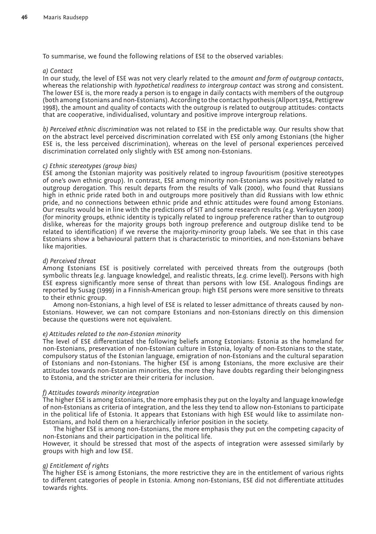To summarise, we found the following relations of ESE to the observed variables:

#### *a) Contact*

In our study, the level of ESE was not very clearly related to the *amount and form of outgroup contacts*, whereas the relationship with *hypothetical readiness to intergroup contact* was strong and consistent. The lower ESE is, the more ready a person is to engage in daily contacts with members of the outgroup (both among Estonians and non-Estonians). According to the contact hypothesis (Allport 1954, Pettigrew 1998), the amount and quality of contacts with the outgroup is related to outgroup attitudes: contacts that are cooperative, individualised, voluntary and positive improve intergroup relations.

*b) Perceived ethnic discrimination* was not related to ESE in the predictable way. Our results show that on the abstract level perceived discrimination correlated with ESE only among Estonians (the higher ESE is, the less perceived discrimination), whereas on the level of personal experiences perceived discrimination correlated only slightly with ESE among non-Estonians.

#### *c) Ethnic stereotypes (group bias)*

ESE among the Estonian majority was positively related to ingroup favouritism (positive stereotypes of one's own ethnic group). In contrast, ESE among minority non-Estonians was positively related to outgroup derogation. This result departs from the results of Valk (2000), who found that Russians high in ethnic pride rated both in and outgroups more positively than did Russians with low ethnic pride, and no connections between ethnic pride and ethnic attitudes were found among Estonians. Our results would be in line with the predictions of SIT and some research results (*e.g.* Verkuyten 2000) (for minority groups, ethnic identity is typically related to ingroup preference rather than to outgroup dislike, whereas for the majority groups both ingroup preference and outgroup dislike tend to be related to identification) if we reverse the majority-minority group labels. We see that in this case Estonians show a behavioural pattern that is characteristic to minorities, and non-Estonians behave like majorities.

## *d) Perceived threat*

Among Estonians ESE is positively correlated with perceived threats from the outgroups (both symbolic threats [*e.g.* language knowledge], and realistic threats, [*e.g.* crime level]). Persons with high ESE express significantly more sense of threat than persons with low ESE. Analogous findings are reported by Susag (1999) in a Finnish-American group: high ESE persons were more sensitive to threats to their ethnic group.

Among non-Estonians, a high level of ESE is related to lesser admittance of threats caused by non-Estonians. However, we can not compare Estonians and non-Estonians directly on this dimension because the questions were not equivalent.

#### *e) Attitudes related to the non-Estonian minority*

The level of ESE differentiated the following beliefs among Estonians: Estonia as the homeland for non-Estonians, preservation of non-Estonian culture in Estonia, loyalty of non-Estonians to the state, compulsory status of the Estonian language, emigration of non-Estonians and the cultural separation of Estonians and non-Estonians. The higher ESE is among Estonians, the more exclusive are their attitudes towards non-Estonian minorities, the more they have doubts regarding their belongingness to Estonia, and the stricter are their criteria for inclusion.

#### *f) Attitudes towards minority integration*

The higher ESE is among Estonians, the more emphasis they put on the loyalty and language knowledge of non-Estonians as criteria of integration, and the less they tend to allow non-Estonians to participate in the political life of Estonia. It appears that Estonians with high ESE would like to assimilate non-Estonians, and hold them on a hierarchically inferior position in the society.

The higher ESE is among non-Estonians, the more emphasis they put on the competing capacity of non-Estonians and their participation in the political life.

However, it should be stressed that most of the aspects of integration were assessed similarly by groups with high and low ESE.

# *g) Entitlement of rights*

The higher ESE is among Estonians, the more restrictive they are in the entitlement of various rights to different categories of people in Estonia. Among non-Estonians, ESE did not differentiate attitudes towards rights.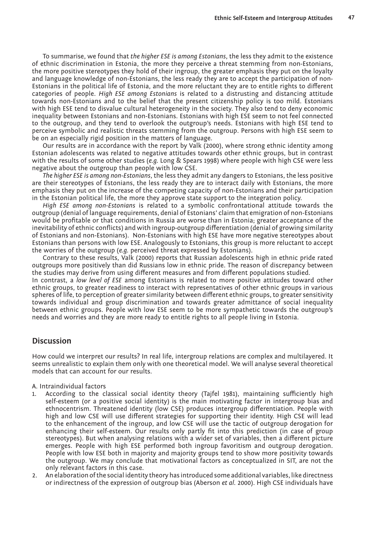To summarise, we found that *the higher ESE is among Estonians*, the less they admit to the existence of ethnic discrimination in Estonia, the more they perceive a threat stemming from non-Estonians, the more positive stereotypes they hold of their ingroup, the greater emphasis they put on the loyalty and language knowledge of non-Estonians, the less ready they are to accept the participation of non-Estonians in the political life of Estonia, and the more reluctant they are to entitle rights to different categories of people. *High ESE among Estonians* is related to a distrusting and distancing attitude towards non-Estonians and to the belief that the present citizenship policy is too mild. Estonians with high ESE tend to disvalue cultural heterogeneity in the society. They also tend to deny economic inequality between Estonians and non-Estonians. Estonians with high ESE seem to not feel connected to the outgroup, and they tend to overlook the outgroup's needs. Estonians with high ESE tend to perceive symbolic and realistic threats stemming from the outgroup. Persons with high ESE seem to be on an especially rigid position in the matters of language.

Our results are in accordance with the report by Valk (2000), where strong ethnic identity among Estonian adolescents was related to negative attitudes towards other ethnic groups, but in contrast with the results of some other studies (*e.g.* Long & Spears 1998) where people with high CSE were less negative about the outgroup than people with low CSE.

*The higher ESE is among non-Estonians*, the less they admit any dangers to Estonians, the less positive are their stereotypes of Estonians, the less ready they are to interact daily with Estonians, the more emphasis they put on the increase of the competing capacity of non-Estonians and their participation in the Estonian political life, the more they approve state support to the integration policy.

*High ESE among non-Estonians* is related to a symbolic confrontational attitude towards the outgroup (denial of language requirements, denial of Estonians' claim that emigration of non-Estonians would be profitable or that conditions in Russia are worse than in Estonia; greater acceptance of the inevitability of ethnic conflicts) and with ingroup-outgroup differentiation (denial of growing similarity of Estonians and non-Estonians). Non-Estonians with high ESE have more negative stereotypes about Estonians than persons with low ESE. Analogously to Estonians, this group is more reluctant to accept the worries of the outgroup (*e.g.* perceived threat expressed by Estonians).

Contrary to these results, Valk (2000) reports that Russian adolescents high in ethnic pride rated outgroups more positively than did Russians low in ethnic pride. The reason of discrepancy between the studies may derive from using different measures and from different populations studied.

In contrast, a *low level of ESE* among Estonians is related to more positive attitudes toward other ethnic groups, to greater readiness to interact with representatives of other ethnic groups in various spheres of life, to perception of greater similarity between different ethnic groups, to greater sensitivity towards individual and group discrimination and towards greater admittance of social inequality between ethnic groups. People with low ESE seem to be more sympathetic towards the outgroup's needs and worries and they are more ready to entitle rights to all people living in Estonia.

# **Discussion**

How could we interpret our results? In real life, intergroup relations are complex and multilayered. It seems unrealistic to explain them only with one theoretical model. We will analyse several theoretical models that can account for our results.

A. Intraindividual factors

- 1. According to the classical social identity theory (Tajfel 1981), maintaining sufficiently high self-esteem (or a positive social identity) is the main motivating factor in intergroup bias and ethnocentrism. Threatened identity (low CSE) produces intergroup differentiation. People with high and low CSE will use different strategies for supporting their identity. High CSE will lead to the enhancement of the ingroup, and low CSE will use the tactic of outgroup derogation for enhancing their self-esteem. Our results only partly fit into this prediction (in case of group stereotypes). But when analysing relations with a wider set of variables, then a different picture emerges. People with high ESE performed both ingroup favoritism and outgroup derogation. People with low ESE both in majority and majority groups tend to show more positivity towards the outgroup. We may conclude that motivational factors as conceptualized in SIT, are not the only relevant factors in this case.
- 2. An elaboration of the social identity theory has introduced some additional variables, like directness or indirectness of the expression of outgroup bias (Aberson *et al.* 2000). High CSE individuals have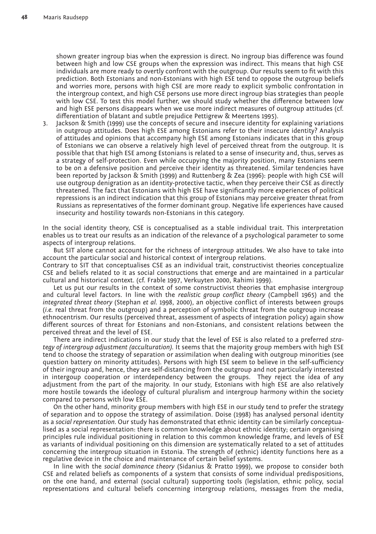shown greater ingroup bias when the expression is direct. No ingroup bias difference was found between high and low CSE groups when the expression was indirect. This means that high CSE individuals are more ready to overtly confront with the outgroup. Our results seem to fit with this prediction. Both Estonians and non-Estonians with high ESE tend to oppose the outgroup beliefs and worries more, persons with high CSE are more ready to explicit symbolic confrontation in the intergroup context, and high CSE persons use more direct ingroup bias strategies than people with low CSE. To test this model further, we should study whether the difference between low and high ESE persons disappears when we use more indirect measures of outgroup attitudes (cf. differentiation of blatant and subtle prejudice Pettigrew & Meertens 1995).

3. Jackson & Smith (1999) use the concepts of secure and insecure identity for explaining variations in outgroup attitudes. Does high ESE among Estonians refer to their insecure identity? Analysis of attitudes and opinions that accompany high ESE among Estonians indicates that in this group of Estonians we can observe a relatively high level of perceived threat from the outgroup. It is possible that that high ESE among Estonians is related to a sense of insecurity and, thus, serves as a strategy of self-protection. Even while occupying the majority position, many Estonians seem to be on a defensive position and perceive their identity as threatened. Similar tendencies have been reported by Jackson & Smith (1999) and Ruttenberg & Zea (1996): people with high CSE will use outgroup denigration as an identity-protective tactic, when they perceive their CSE as directly threatened. The fact that Estonians with high ESE have significantly more experiences of political repressions is an indirect indication that this group of Estonians may perceive greater threat from Russians as representatives of the former dominant group. Negative life experiences have caused insecurity and hostility towards non-Estonians in this category.

In the social identity theory, CSE is conceptualised as a stable individual trait. This interpretation enables us to treat our results as an indication of the relevance of a psychological parameter to some aspects of intergroup relations.

But SIT alone cannot account for the richness of intergroup attitudes. We also have to take into account the particular social and historical context of intergroup relations.

Contrary to SIT that conceptualises CSE as an individual trait, constructivist theories conceptualize CSE and beliefs related to it as social constructions that emerge and are maintained in a particular cultural and historical context. (cf. Frable 1997, Verkuyten 2000, Rahimi 1999).

Let us put our results in the context of some constructivist theories that emphasise intergroup and cultural level factors. In line with the *realistic group conflict theory* (Campbell 1965) and the *integrated threat theory* (Stephan *et al.* 1998, 2000), an objective conflict of interests between groups (*i.e.* real threat from the outgroup) and a perception of symbolic threat from the outgroup increase ethnocentrism. Our results (perceived threat, assessment of aspects of integration policy) again show different sources of threat for Estonians and non-Estonians, and consistent relations between the perceived threat and the level of ESE.

There are indirect indications in our study that the level of ESE is also related to a preferred *strategy of intergroup adjustment (acculturation).* It seems that the majority group members with high ESE tend to choose the strategy of separation or assimilation when dealing with outgroup minorities (see question battery on minority attitudes). Persons with high ESE seem to believe in the self-sufficiency of their ingroup and, hence, they are self-distancing from the outgroup and not particularly interested in intergoup cooperation or interdependency between the groups. They reject the idea of any adjustment from the part of the majority. In our study, Estonians with high ESE are also relatively more hostile towards the ideology of cultural pluralism and intergroup harmony within the society compared to persons with low ESE.

On the other hand, minority group members with high ESE in our study tend to prefer the strategy of separation and to oppose the strategy of assimilation. Doise (1998) has analysed personal identity as a *social representation.* Our study has demonstrated that ethnic identity can be similarly conceptualised as a social representation: there is common knowledge about ethnic identity; certain organising principles rule individual positioning in relation to this common knowledge frame, and levels of ESE as variants of individual positioning on this dimension are systematically related to a set of attitudes concerning the intergroup situation in Estonia. The strength of (ethnic) identity functions here as a regulative device in the choice and maintenance of certain belief systems.

In line with the *social dominance theory* (Sidanius & Pratto 1999), we propose to consider both CSE and related beliefs as components of a system that consists of some individual predispositions, on the one hand, and external (social cultural) supporting tools (legislation, ethnic policy, social representations and cultural beliefs concerning intergroup relations, messages from the media,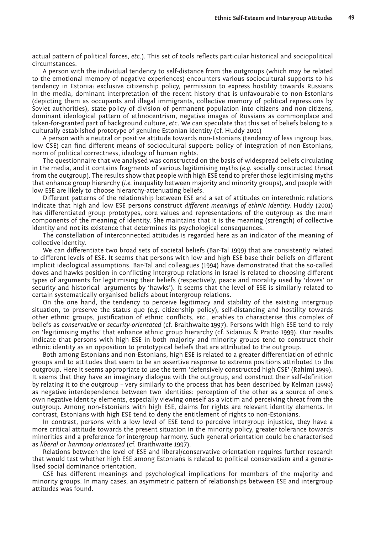actual pattern of political forces, *etc*.). This set of tools reflects particular historical and sociopolitical circumstances.

A person with the individual tendency to self-distance from the outgroups (which may be related to the emotional memory of negative experiences) encounters various sociocultural supports to his tendency in Estonia: exclusive citizenship policy, permission to express hostility towards Russians in the media, dominant interpretation of the recent history that is unfavourable to non-Estonians (depicting them as occupants and illegal immigrants, collective memory of political repressions by Soviet authorities), state policy of division of permanent population into citizens and non-citizens, dominant ideological pattern of ethnocentrism, negative images of Russians as commonplace and taken-for-granted part of background culture, *etc*. We can speculate that this set of beliefs belong to a culturally established prototype of genuine Estonian identity (cf. Huddy 2001)

A person with a neutral or positive attitude towards non-Estonians (tendency of less ingroup bias, low CSE) can find different means of sociocultural support: policy of integration of non-Estonians, norm of political correctness, ideology of human rights.

The questionnaire that we analysed was constructed on the basis of widespread beliefs circulating in the media, and it contains fragments of various legitimising myths (*e.g.* socially constructed threat from the outgroup). The results show that people with high ESE tend to prefer those legitimising myths that enhance group hierarchy (*i.e.* inequality between majority and minority groups), and people with low ESE are likely to choose hierarchy-attenuating beliefs.

Different patterns of the relationship between ESE and a set of attitudes on interethnic relations indicate that high and low ESE persons construct *different meanings of ethnic identity.* Huddy (2001) has differentiated group prototypes, core values and representations of the outgroup as the main components of the meaning of identity. She maintains that it is the meaning (strength) of collective identity and not its existence that determines its psychological consequences.

The constellation of interconnected attitudes is regarded here as an indicator of the meaning of collective identity.

We can differentiate two broad sets of societal beliefs (Bar-Tal 1999) that are consistently related to different levels of ESE. It seems that persons with low and high ESE base their beliefs on different implicit ideological assumptions. Bar-Tal and colleagues (1994) have demonstrated that the so-called doves and hawks position in conflicting intergroup relations in Israel is related to choosing different types of arguments for legitimising their beliefs (respectively, peace and morality used by 'doves' or security and historical arguments by 'hawks'). It seems that the level of ESE is similarly related to certain systematically organised beliefs about intergroup relations.

On the one hand, the tendency to perceive legitimacy and stability of the existing intergroup situation, to preserve the status quo (*e.g.* citizenship policy), self-distancing and hostility towards other ethnic groups, justification of ethnic conflicts, *etc*., enables to characterise this complex of beliefs as *conservative* or *security-orientated* (cf. Braithwaite 1997). Persons with high ESE tend to rely on 'legitimising myths' that enhance ethnic group hierarchy (cf. Sidanius & Pratto 1999). Our results indicate that persons with high ESE in both majority and minority groups tend to construct their ethnic identity as an opposition to prototypical beliefs that are attributed to the outgroup.

Both among Estonians and non-Estonians, high ESE is related to a greater differentiation of ethnic groups and to attitudes that seem to be an assertive response to extreme positions attributed to the outgroup. Here it seems appropriate to use the term 'defensively constructed high CSE' (Rahimi 1999). It seems that they have an imaginary dialogue with the outgroup, and construct their self-definition by relating it to the outgroup – very similarly to the process that has been described by Kelman (1999) as negative interdependence between two identities: perception of the other as a source of one's own negative identity elements, especially viewing oneself as a victim and perceiving threat from the outgroup. Among non-Estonians with high ESE, claims for rights are relevant identity elements. In contrast, Estonians with high ESE tend to deny the entitlement of rights to non-Estonians.

In contrast, persons with a low level of ESE tend to perceive intergroup injustice, they have a more critical attitude towards the present situation in the minority policy, greater tolerance towards minorities and a preference for intergroup harmony. Such general orientation could be characterised as *liberal* or *harmony orientated* (cf. Braithwaite 1997).

Relations between the level of ESE and liberal/conservative orientation requires further research that would test whether high ESE among Estonians is related to political conservatism and a generalised social dominance orientation.

CSE has different meanings and psychological implications for members of the majority and minority groups. In many cases, an asymmetric pattern of relationships between ESE and intergroup attitudes was found.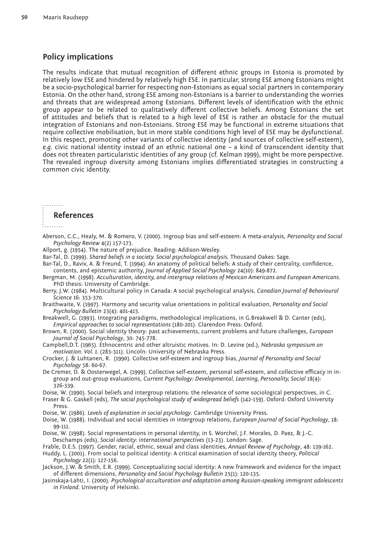# **Policy implications**

The results indicate that mutual recognition of different ethnic groups in Estonia is promoted by relatively low ESE and hindered by relatively high ESE. In particular, strong ESE among Estonians might be a socio-psychological barrier for respecting non-Estonians as equal social partners in contemporary Estonia. On the other hand, strong ESE among non-Estonians is a barrier to understanding the worries and threats that are widespread among Estonians. Different levels of identification with the ethnic group appear to be related to qualitatively different collective beliefs. Among Estonians the set of attitudes and beliefs that is related to a high level of ESE is rather an obstacle for the mutual integration of Estonians and non-Estonians. Strong ESE may be functional in extreme situations that require collective mobilisation, but in more stable conditions high level of ESE may be dysfunctional. In this respect, promoting other variants of collective identity (and sources of collective self-esteem), *e.g.* civic national identity instead of an ethnic national one – a kind of transcendent identity that does not threaten particularistic identities of any group (cf. Kelman 1999), might be more perspective. The revealed ingroup diversity among Estonians implies differentiated strategies in constructing a common civic identity.

## ......... **References**

Aberson, C.C., Healy, M. & Romero, V. (2000). Ingroup bias and self-esteem: A meta-analysis, *Personality and Social Psychology Review* 4(2) 157-173.

Allport, g. (1954). The nature of prejudice. Reading: Addison-Wesley.

- Bar-Tal, D. (1999). *Shared beliefs in a society. Social psychological analysis.* Thousand Oakes: Sage.
- Bar-Tal, D., Raviv, A. & Freund, T. (1994). An anatomy of political beliefs: A study of their centrality, confidence, contents, and epistemic authority, *Journal of Applied Social Psychology* 24(10): 849-872.
- Bergman, M. (1998). *Acculturation, identity, and intergroup relations of Mexican Americans and European Americans.* PhD thesis: University of Cambridge.
- Berry, J.W. (1984). Multicultural policy in Canada: A social psychological analysis, *Canadian Journal of Behavioural Science* 16: 353-370.
- Braithwaite, V. (1997). Harmony and security value orientations in political evaluation, *Personality and Social Psychology Bulletin* 23(4): 401-415.

Breakwell, G. (1993). Integrating paradigms, methodological implications, in G.Breakwell & D. Canter (eds), *Empirical approaches to social representations* (180-201). Clarendon Press: Oxford.

Brown, R. (2000). Social identity theory: past achievements, current problems and future challenges, *European Journal of Social Psychology*, 30: 745-778.

Campbell,D.T. (1965). Ethnocentric and other altruistic motives. In: D. Levine (ed.), *Nebraska symposium on motivation. Vol. 1.* (283-311). Lincoln: University of Nebraska Press.

- Crocker, J. & Luhtanen, R. (1990). Collective self-esteem and ingroup bias, *Journal of Personality and Social Psychology* 58: 60-67.
- De Cremer, D. & Oosterwegel, A. (1999). Collective self-esteem, personal self-esteem, and collective efficacy in ingroup and out-group evaluations, *Current Psychology: Developmental, Learning, Personality, Social* 18(4): 326-339.

Doise, W. (1990). Social beliefs and intergroup relations: the relevance of some sociological perspectives, in C.

- Fraser & G. Gaskell (eds), *The social psychological study of widespread beliefs* (142-159). Oxford: Oxford University Press.
- Doise, W. (1986). *Levels of explanation in social psychology*. Cambridge University Press.
- Doise, W. (1988). Individual and social identities in intergroup relations, *European Journal of Social Psychology*, 18: 99-111.
- Doise, W. (1998). Social representations in personal identity, in S. Worchel, J.F. Morales, D. Paez, & J.-C. Deschamps (eds), *Social identity: international perspectives* (13-23). London: Sage.
- Frable, D.E.S. (1997). Gender, racial, ethnic, sexual and class identities, *Annual Review of Psychology*, 48: 139-162.

Huddy, L. (2001). From social to political identity: A critical examination of social identity theory, *Political Psychology* 22(1): 127-156.

Jackson, J.W. & Smith, E.R. (1999). Conceptualizing social identity: A new framework and evidence for the impact of different dimensions, *Personality and Social Psychology Bulletin* 25(1): 120-135.

Jasinskaja-Lahti, I. (2000). *Psychological acculturation and adaptation among Russian-speaking immigrant adolescents in Finland.* University of Helsinki.